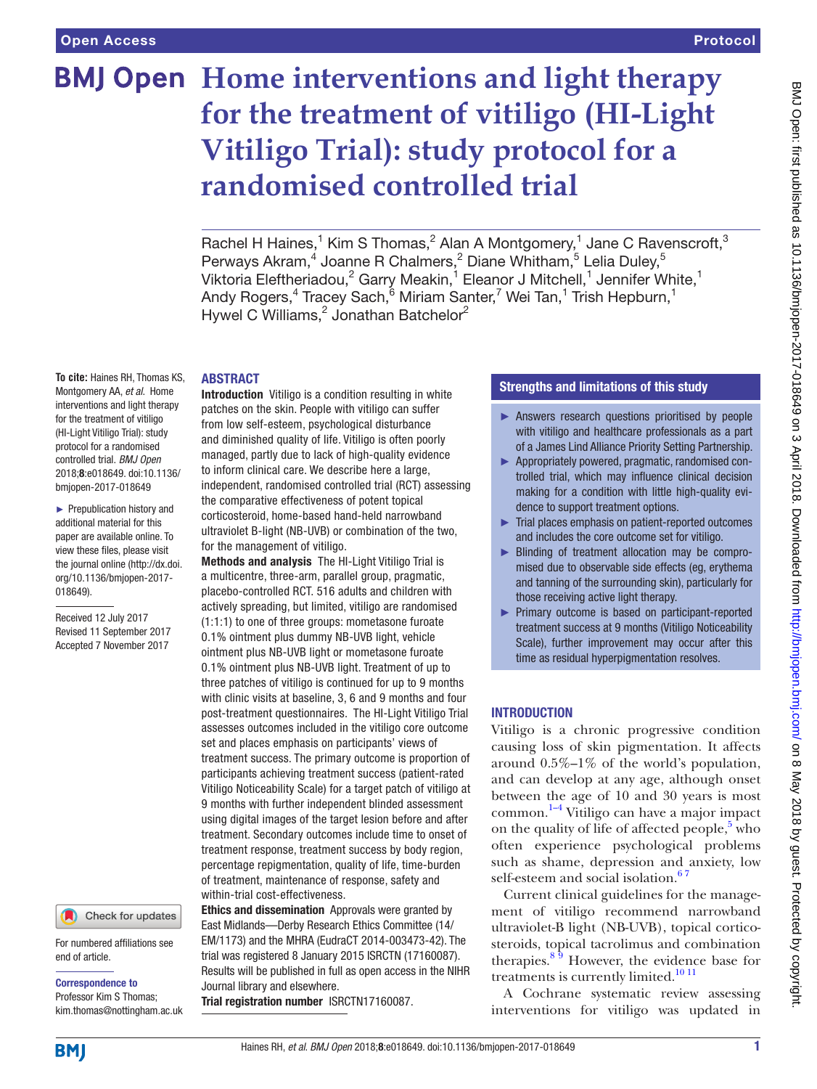# **BMJ Open** Home interventions and light therapy **for the treatment of vitiligo (HI-Light Vitiligo Trial): study protocol for a randomised controlled trial**

Rachel H Haines,<sup>1</sup> Kim S Thomas,<sup>2</sup> Alan A Montgomery,<sup>1</sup> Jane C Ravenscroft,<sup>3</sup> Perways Akram,<sup>4</sup> Joanne R Chalmers,<sup>2</sup> Diane Whitham,<sup>5</sup> Lelia Duley,<sup>5</sup> Viktoria Eleftheriadou,<sup>2</sup> Garry Meakin,<sup>1</sup> Eleanor J Mitchell,<sup>1</sup> Jennifer White,<sup>1</sup> Andy Rogers,<sup>4</sup> Tracey Sach,<sup>6</sup> Miriam Santer,<sup>7</sup> Wei Tan,<sup>1</sup> Trish Hepburn,<sup>1</sup> Hywel C Williams,<sup>2</sup> Jonathan Batchelor<sup>2</sup>

#### **ABSTRACT**

**To cite:** Haines RH, Thomas KS, Montgomery AA, *et al*. Home interventions and light therapy for the treatment of vitiligo (HI-Light Vitiligo Trial): study protocol for a randomised controlled trial. *BMJ Open* 2018;8:e018649. doi:10.1136/ bmjopen-2017-018649

► Prepublication history and additional material for this paper are available online. To view these files, please visit the journal online [\(http://dx.doi.](http://dx.doi.org/10.1136/bmjopen-2017-018649) [org/10.1136/bmjopen-2017-](http://dx.doi.org/10.1136/bmjopen-2017-018649) [018649\)](http://dx.doi.org/10.1136/bmjopen-2017-018649).

Received 12 July 2017 Revised 11 September 2017 Accepted 7 November 2017

#### Check for updates

For numbered affiliations see end of article.

Correspondence to Professor Kim S Thomas; kim.thomas@nottingham.ac.uk Introduction Vitiligo is a condition resulting in white patches on the skin. People with vitiligo can suffer from low self-esteem, psychological disturbance and diminished quality of life. Vitiligo is often poorly managed, partly due to lack of high-quality evidence to inform clinical care. We describe here a large, independent, randomised controlled trial (RCT) assessing the comparative effectiveness of potent topical corticosteroid, home-based hand-held narrowband ultraviolet B-light (NB-UVB) or combination of the two, for the management of vitiligo.

Methods and analysis The HI-Light Vitiligo Trial is a multicentre, three-arm, parallel group, pragmatic, placebo-controlled RCT. 516 adults and children with actively spreading, but limited, vitiligo are randomised (1:1:1) to one of three groups: mometasone furoate 0.1% ointment plus dummy NB-UVB light, vehicle ointment plus NB-UVB light or mometasone furoate 0.1% ointment plus NB-UVB light. Treatment of up to three patches of vitiligo is continued for up to 9 months with clinic visits at baseline, 3, 6 and 9 months and four post-treatment questionnaires. The HI-Light Vitiligo Trial assesses outcomes included in the vitiligo core outcome set and places emphasis on participants' views of treatment success. The primary outcome is proportion of participants achieving treatment success (patient-rated Vitiligo Noticeability Scale) for a target patch of vitiligo at 9 months with further independent blinded assessment using digital images of the target lesion before and after treatment. Secondary outcomes include time to onset of treatment response, treatment success by body region, percentage repigmentation, quality of life, time-burden of treatment, maintenance of response, safety and within-trial cost-effectiveness.

Ethics and dissemination Approvals were granted by East Midlands—Derby Research Ethics Committee (14/ EM/1173) and the MHRA (EudraCT 2014-003473-42). The trial was registered 8 January 2015 ISRCTN (17160087). Results will be published in full as open access in the NIHR Journal library and elsewhere.

Trial registration number <ISRCTN17160087>.

# Strengths and limitations of this study

- ► Answers research questions prioritised by people with vitiligo and healthcare professionals as a part of a James Lind Alliance Priority Setting Partnership.
- ► Appropriately powered, pragmatic, randomised controlled trial, which may influence clinical decision making for a condition with little high-quality evidence to support treatment options.
- ► Trial places emphasis on patient-reported outcomes and includes the core outcome set for vitiligo.
- ► Blinding of treatment allocation may be compromised due to observable side effects (eg, erythema and tanning of the surrounding skin), particularly for those receiving active light therapy.
- ► Primary outcome is based on participant-reported treatment success at 9 months (Vitiligo Noticeability Scale), further improvement may occur after this time as residual hyperpigmentation resolves.

# **INTRODUCTION**

Vitiligo is a chronic progressive condition causing loss of skin pigmentation. It affects around 0.5%–1% of the world's population, and can develop at any age, although onset between the age of 10 and 30 years is most common. [1–4](#page-11-0) Vitiligo can have a major impact on the quality of life of affected people, $5 \text{ who}$  $5 \text{ who}$ often experience psychological problems such as shame, depression and anxiety, low self-esteem and social isolation.<sup>67</sup>

Current clinical guidelines for the management of vitiligo recommend narrowband ultraviolet-B light (NB-UVB), topical corticosteroids, topical tacrolimus and combination therapies. $89$  However, the evidence base for treatments is currently limited.<sup>10 11</sup>

A Cochrane systematic review assessing interventions for vitiligo was updated in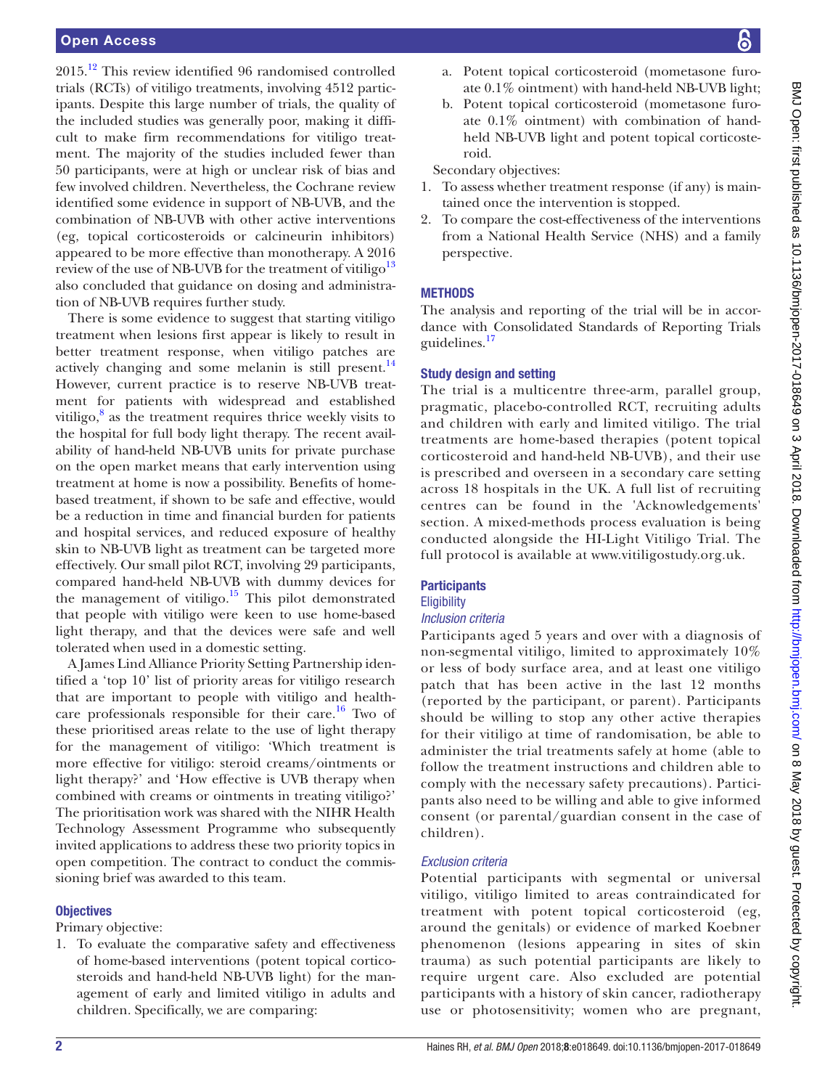# Open Access

2015.[12](#page-12-0) This review identified 96 randomised controlled trials (RCTs) of vitiligo treatments, involving 4512 participants. Despite this large number of trials, the quality of the included studies was generally poor, making it difficult to make firm recommendations for vitiligo treatment. The majority of the studies included fewer than 50 participants, were at high or unclear risk of bias and few involved children. Nevertheless, the Cochrane review identified some evidence in support of NB-UVB, and the combination of NB-UVB with other active interventions (eg, topical corticosteroids or calcineurin inhibitors) appeared to be more effective than monotherapy. A 2016 review of the use of NB-UVB for the treatment of vitiligo<sup>13</sup> also concluded that guidance on dosing and administration of NB-UVB requires further study.

There is some evidence to suggest that starting vitiligo treatment when lesions first appear is likely to result in better treatment response, when vitiligo patches are actively changing and some melanin is still present. $^{14}$ However, current practice is to reserve NB-UVB treatment for patients with widespread and established vitiligo, $8$  as the treatment requires thrice weekly visits to the hospital for full body light therapy. The recent availability of hand-held NB-UVB units for private purchase on the open market means that early intervention using treatment at home is now a possibility. Benefits of homebased treatment, if shown to be safe and effective, would be a reduction in time and financial burden for patients and hospital services, and reduced exposure of healthy skin to NB-UVB light as treatment can be targeted more effectively. Our small pilot RCT, involving 29 participants, compared hand-held NB-UVB with dummy devices for the management of vitiligo. $15$  This pilot demonstrated that people with vitiligo were keen to use home-based light therapy, and that the devices were safe and well tolerated when used in a domestic setting.

A James Lind Alliance Priority Setting Partnership identified a 'top 10' list of priority areas for vitiligo research that are important to people with vitiligo and healthcare professionals responsible for their care.<sup>16</sup> Two of these prioritised areas relate to the use of light therapy for the management of vitiligo: 'Which treatment is more effective for vitiligo: steroid creams/ointments or light therapy?' and 'How effective is UVB therapy when combined with creams or ointments in treating vitiligo?' The prioritisation work was shared with the NIHR Health Technology Assessment Programme who subsequently invited applications to address these two priority topics in open competition. The contract to conduct the commissioning brief was awarded to this team.

# **Objectives**

# Primary objective:

1. To evaluate the comparative safety and effectiveness of home-based interventions (potent topical corticosteroids and hand-held NB-UVB light) for the management of early and limited vitiligo in adults and children. Specifically, we are comparing:

- a. Potent topical corticosteroid (mometasone furoate 0.1% ointment) with hand-held NB-UVB light;
- b. Potent topical corticosteroid (mometasone furoate 0.1% ointment) with combination of handheld NB-UVB light and potent topical corticosteroid.

Secondary objectives:

- 1. To assess whether treatment response (if any) is maintained once the intervention is stopped.
- 2. To compare the cost-effectiveness of the interventions from a National Health Service (NHS) and a family perspective.

# **METHODS**

The analysis and reporting of the trial will be in accordance with Consolidated Standards of Reporting Trials guidelines.<sup>17</sup>

# Study design and setting

The trial is a multicentre three-arm, parallel group, pragmatic, placebo-controlled RCT, recruiting adults and children with early and limited vitiligo. The trial treatments are home-based therapies (potent topical corticosteroid and hand-held NB-UVB), and their use is prescribed and overseen in a secondary care setting across 18 hospitals in the UK. A full list of recruiting centres can be found in the 'Acknowledgements' section. A mixed-methods process evaluation is being conducted alongside the HI-Light Vitiligo Trial. The full protocol is available at<www.vitiligostudy.org.uk.>

# **Participants**

# **Eligibility**

# *Inclusion criteria*

Participants aged 5 years and over with a diagnosis of non-segmental vitiligo, limited to approximately 10% or less of body surface area, and at least one vitiligo patch that has been active in the last 12 months (reported by the participant, or parent). Participants should be willing to stop any other active therapies for their vitiligo at time of randomisation, be able to administer the trial treatments safely at home (able to follow the treatment instructions and children able to comply with the necessary safety precautions). Participants also need to be willing and able to give informed consent (or parental/guardian consent in the case of children).

# *Exclusion criteria*

Potential participants with segmental or universal vitiligo, vitiligo limited to areas contraindicated for treatment with potent topical corticosteroid (eg, around the genitals) or evidence of marked Koebner phenomenon (lesions appearing in sites of skin trauma) as such potential participants are likely to require urgent care. Also excluded are potential participants with a history of skin cancer, radiotherapy use or photosensitivity; women who are pregnant,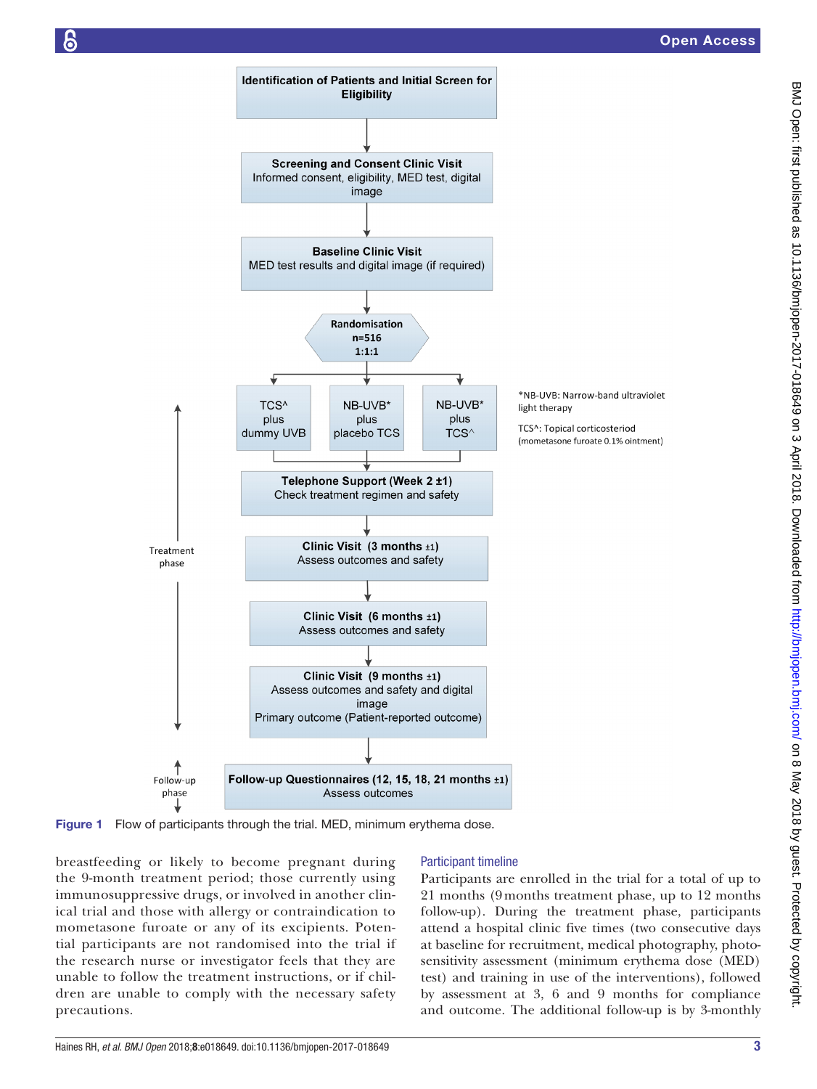

<span id="page-2-0"></span>Figure 1 Flow of participants through the trial. MED, minimum erythema dose.

breastfeeding or likely to become pregnant during the 9-month treatment period; those currently using immunosuppressive drugs, or involved in another clinical trial and those with allergy or contraindication to mometasone furoate or any of its excipients. Potential participants are not randomised into the trial if the research nurse or investigator feels that they are unable to follow the treatment instructions, or if children are unable to comply with the necessary safety precautions.

# Participant timeline

Participants are enrolled in the trial for a total of up to 21 months (9months treatment phase, up to 12 months follow-up). During the treatment phase, participants attend a hospital clinic five times (two consecutive days at baseline for recruitment, medical photography, photosensitivity assessment (minimum erythema dose (MED) test) and training in use of the interventions), followed by assessment at 3, 6 and 9 months for compliance and outcome. The additional follow-up is by 3-monthly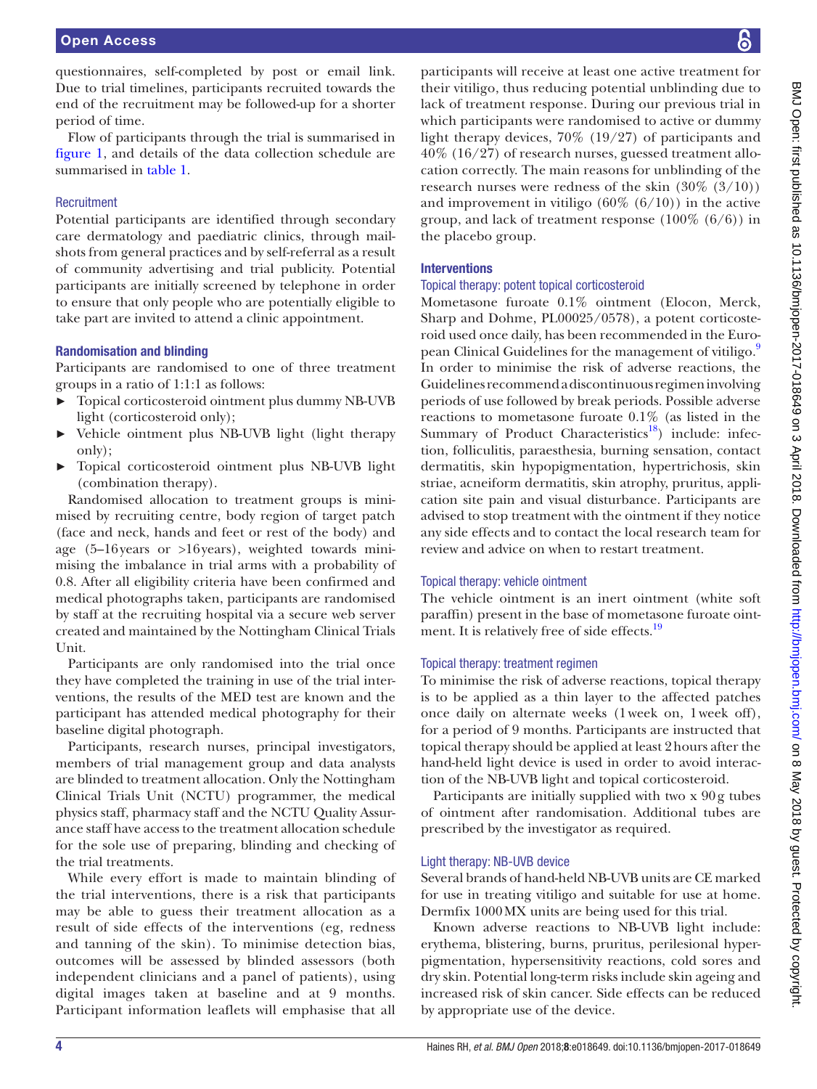questionnaires, self-completed by post or email link. Due to trial timelines, participants recruited towards the end of the recruitment may be followed-up for a shorter period of time.

Flow of participants through the trial is summarised in [figure](#page-2-0) 1, and details of the data collection schedule are summarised in [table](#page-4-0) 1.

# **Recruitment**

Potential participants are identified through secondary care dermatology and paediatric clinics, through mailshots from general practices and by self-referral as a result of community advertising and trial publicity. Potential participants are initially screened by telephone in order to ensure that only people who are potentially eligible to take part are invited to attend a clinic appointment.

# Randomisation and blinding

Participants are randomised to one of three treatment groups in a ratio of 1:1:1 as follows:

- ► Topical corticosteroid ointment plus dummy NB-UVB light (corticosteroid only);
- ► Vehicle ointment plus NB-UVB light (light therapy only);
- ► Topical corticosteroid ointment plus NB-UVB light (combination therapy).

Randomised allocation to treatment groups is minimised by recruiting centre, body region of target patch (face and neck, hands and feet or rest of the body) and age (5–16years or >16years), weighted towards minimising the imbalance in trial arms with a probability of 0.8. After all eligibility criteria have been confirmed and medical photographs taken, participants are randomised by staff at the recruiting hospital via a secure web server created and maintained by the Nottingham Clinical Trials Unit.

Participants are only randomised into the trial once they have completed the training in use of the trial interventions, the results of the MED test are known and the participant has attended medical photography for their baseline digital photograph.

Participants, research nurses, principal investigators, members of trial management group and data analysts are blinded to treatment allocation. Only the Nottingham Clinical Trials Unit (NCTU) programmer, the medical physics staff, pharmacy staff and the NCTU Quality Assurance staff have access to the treatment allocation schedule for the sole use of preparing, blinding and checking of the trial treatments.

While every effort is made to maintain blinding of the trial interventions, there is a risk that participants may be able to guess their treatment allocation as a result of side effects of the interventions (eg, redness and tanning of the skin). To minimise detection bias, outcomes will be assessed by blinded assessors (both independent clinicians and a panel of patients), using digital images taken at baseline and at 9 months. Participant information leaflets will emphasise that all

participants will receive at least one active treatment for their vitiligo, thus reducing potential unblinding due to lack of treatment response. During our previous trial in which participants were randomised to active or dummy light therapy devices, 70% (19/27) of participants and 40% (16/27) of research nurses, guessed treatment allocation correctly. The main reasons for unblinding of the research nurses were redness of the skin  $(30\% (3/10))$ and improvement in vitiligo  $(60\% (6/10))$  in the active group, and lack of treatment response  $(100\% (6/6))$  in the placebo group.

# **Interventions**

# Topical therapy: potent topical corticosteroid

Mometasone furoate 0.1% ointment (Elocon, Merck, Sharp and Dohme, PL00025/0578), a potent corticosteroid used once daily, has been recommended in the Euro-pean Clinical Guidelines for the management of vitiligo.<sup>[9](#page-11-5)</sup> In order to minimise the risk of adverse reactions, the Guidelines recommend a discontinuous regimen involving periods of use followed by break periods. Possible adverse reactions to mometasone furoate 0.1% (as listed in the Summary of Product Characteristics<sup>18</sup>) include: infection, folliculitis, paraesthesia, burning sensation, contact dermatitis, skin hypopigmentation, hypertrichosis, skin striae, acneiform dermatitis, skin atrophy, pruritus, application site pain and visual disturbance. Participants are advised to stop treatment with the ointment if they notice any side effects and to contact the local research team for review and advice on when to restart treatment.

# Topical therapy: vehicle ointment

The vehicle ointment is an inert ointment (white soft paraffin) present in the base of mometasone furoate ointment. It is relatively free of side effects.<sup>19</sup>

# Topical therapy: treatment regimen

To minimise the risk of adverse reactions, topical therapy is to be applied as a thin layer to the affected patches once daily on alternate weeks (1week on, 1week off), for a period of 9 months. Participants are instructed that topical therapy should be applied at least 2hours after the hand-held light device is used in order to avoid interaction of the NB-UVB light and topical corticosteroid.

Participants are initially supplied with two x 90g tubes of ointment after randomisation. Additional tubes are prescribed by the investigator as required.

# Light therapy: NB-UVB device

Several brands of hand-held NB-UVB units are CE marked for use in treating vitiligo and suitable for use at home. Dermfix 1000MX units are being used for this trial.

Known adverse reactions to NB-UVB light include: erythema, blistering, burns, pruritus, perilesional hyperpigmentation, hypersensitivity reactions, cold sores and dry skin. Potential long-term risks include skin ageing and increased risk of skin cancer. Side effects can be reduced by appropriate use of the device.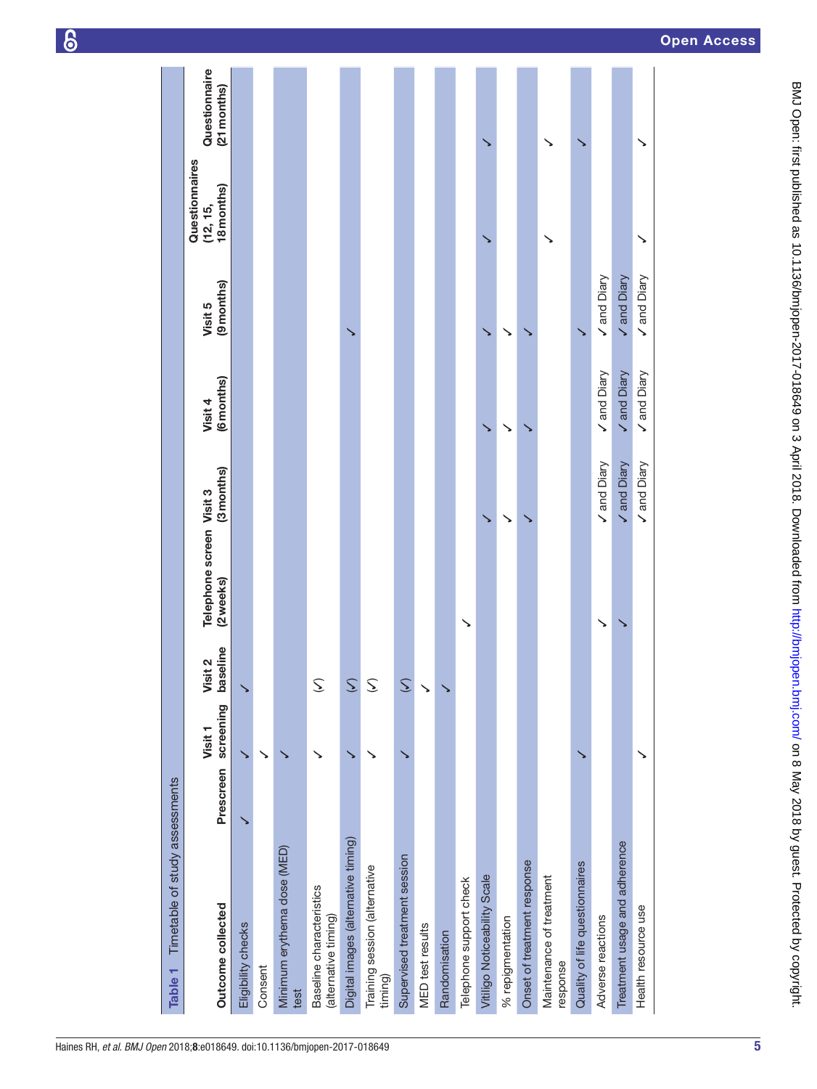<span id="page-4-0"></span>

| Timetable of study assessments<br>Table 1        |           |                      |                     |                                      |             |                      |                       |                                          |                              |
|--------------------------------------------------|-----------|----------------------|---------------------|--------------------------------------|-------------|----------------------|-----------------------|------------------------------------------|------------------------------|
| Outcome collected                                | Prescreen | screening<br>Visit 1 | baseline<br>Visit 2 | Telephone screen Visit 3<br>(2weeks) | (3months)   | (6months)<br>Visit 4 | (9 months)<br>Visit 5 | Questionnaires<br>18 months)<br>(12, 15, | Questionnaire<br>(21 months) |
| Eligibility checks                               |           |                      |                     |                                      |             |                      |                       |                                          |                              |
| Consent                                          |           | ↘                    |                     |                                      |             |                      |                       |                                          |                              |
| Minimum erythema dose (MED)<br>test              |           |                      |                     |                                      |             |                      |                       |                                          |                              |
| Baseline characteristics<br>(alternative timing) |           |                      | S                   |                                      |             |                      |                       |                                          |                              |
| Digital images (alternative timing)              |           |                      | $\mathcal{L}$       |                                      |             |                      |                       |                                          |                              |
| Training session (alternative<br>timing)         |           |                      | S                   |                                      |             |                      |                       |                                          |                              |
| Supervised treatment session                     |           |                      | $\mathcal{Z}$       |                                      |             |                      |                       |                                          |                              |
| <b>MED</b> test results                          |           |                      | ゝ                   |                                      |             |                      |                       |                                          |                              |
| Randomisation                                    |           |                      |                     |                                      |             |                      |                       |                                          |                              |
| Telephone support check                          |           |                      |                     | ↘                                    |             |                      |                       |                                          |                              |
| Vitiligo Noticeability Scale                     |           |                      |                     |                                      | ↘           |                      |                       |                                          |                              |
| % repigmentation                                 |           |                      |                     |                                      |             |                      |                       |                                          |                              |
| Onset of treatment response                      |           |                      |                     |                                      |             |                      |                       |                                          |                              |
| Maintenance of treatment<br>response             |           |                      |                     |                                      |             |                      |                       | ↘                                        |                              |
| Quality of life questionnaires                   |           |                      |                     |                                      |             |                      |                       |                                          |                              |
| Adverse reactions                                |           |                      |                     |                                      | Vand Diary  | Vand Diary           | Vand Diary            |                                          |                              |
| Treatment usage and adherence                    |           |                      |                     |                                      | V and Diary | Vand Diary           | V and Diary           |                                          |                              |
| Health resource use                              |           | ↘                    |                     |                                      | Vand Diary  | Vand Diary           | Vand Diary            | ↘                                        | ゝ                            |
|                                                  |           |                      |                     |                                      |             |                      |                       |                                          |                              |

 $\epsilon$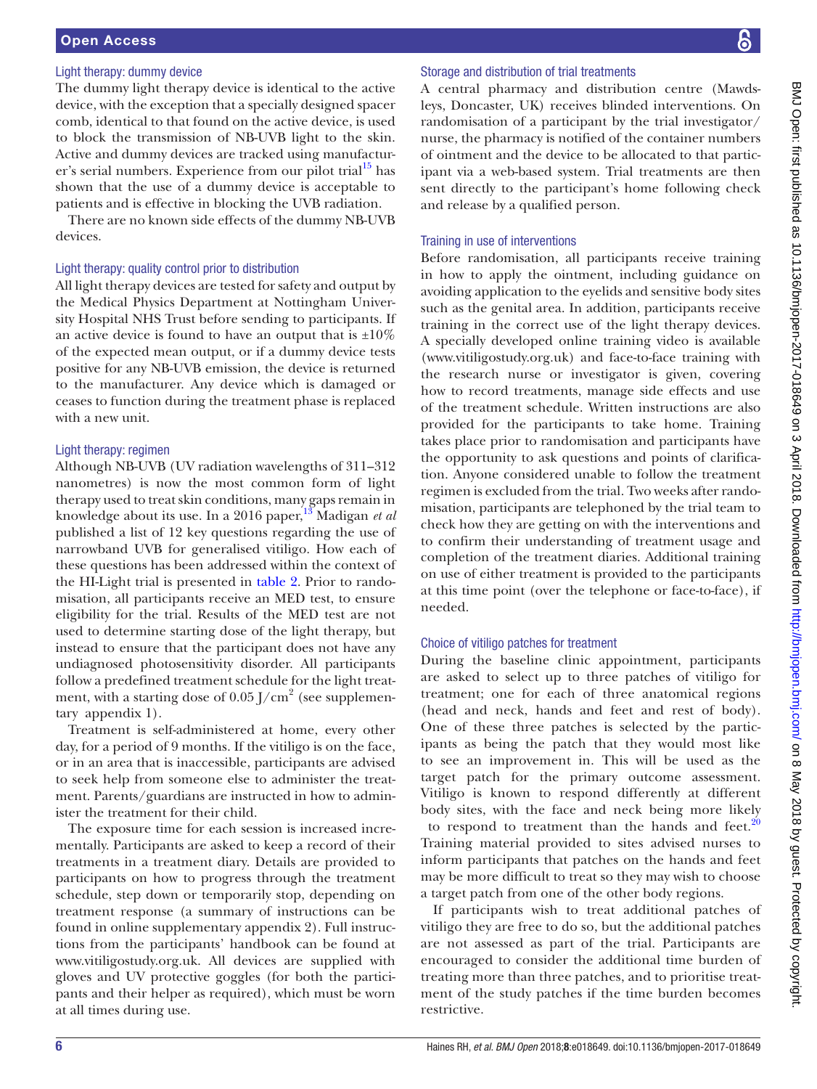# Open Access

#### Light therapy: dummy device

The dummy light therapy device is identical to the active device, with the exception that a specially designed spacer comb, identical to that found on the active device, is used to block the transmission of NB-UVB light to the skin. Active and dummy devices are tracked using manufacturer's serial numbers. Experience from our pilot trial $^{15}$  has shown that the use of a dummy device is acceptable to patients and is effective in blocking the UVB radiation.

There are no known side effects of the dummy NB-UVB devices.

#### Light therapy: quality control prior to distribution

All light therapy devices are tested for safety and output by the Medical Physics Department at Nottingham University Hospital NHS Trust before sending to participants. If an active device is found to have an output that is  $\pm 10\%$ of the expected mean output, or if a dummy device tests positive for any NB-UVB emission, the device is returned to the manufacturer. Any device which is damaged or ceases to function during the treatment phase is replaced with a new unit.

#### Light therapy: regimen

Although NB-UVB (UV radiation wavelengths of 311–312 nanometres) is now the most common form of light therapy used to treat skin conditions, many gaps remain in knowledge about its use. In a 2016 paper,<sup>13</sup> Madigan *et al* published a list of 12 key questions regarding the use of narrowband UVB for generalised vitiligo. How each of these questions has been addressed within the context of the HI-Light trial is presented in [table](#page-6-0) 2. Prior to randomisation, all participants receive an MED test, to ensure eligibility for the trial. Results of the MED test are not used to determine starting dose of the light therapy, but instead to ensure that the participant does not have any undiagnosed photosensitivity disorder. All participants follow a predefined treatment schedule for the light treatment, with a starting dose of  $0.05$  J/cm<sup>2</sup> (see [supplemen](https://dx.doi.org/10.1136/bmjopen-2017-018649)[tary appendix 1](https://dx.doi.org/10.1136/bmjopen-2017-018649)).

Treatment is self-administered at home, every other day, for a period of 9 months. If the vitiligo is on the face, or in an area that is inaccessible, participants are advised to seek help from someone else to administer the treatment. Parents/guardians are instructed in how to administer the treatment for their child.

The exposure time for each session is increased incrementally. Participants are asked to keep a record of their treatments in a treatment diary. Details are provided to participants on how to progress through the treatment schedule, step down or temporarily stop, depending on treatment response (a summary of instructions can be found in online [supplementary](https://dx.doi.org/10.1136/bmjopen-2017-018649) appendix 2). Full instructions from the participants' handbook can be found at <www.vitiligostudy.org.uk.>All devices are supplied with gloves and UV protective goggles (for both the participants and their helper as required), which must be worn at all times during use.

#### Storage and distribution of trial treatments

A central pharmacy and distribution centre (Mawdsleys, Doncaster, UK) receives blinded interventions. On randomisation of a participant by the trial investigator/ nurse, the pharmacy is notified of the container numbers of ointment and the device to be allocated to that participant via a web-based system. Trial treatments are then sent directly to the participant's home following check and release by a qualified person.

#### Training in use of interventions

Before randomisation, all participants receive training in how to apply the ointment, including guidance on avoiding application to the eyelids and sensitive body sites such as the genital area. In addition, participants receive training in the correct use of the light therapy devices. A specially developed online training video is available [\(www.vitiligostudy.org.uk\)](www.vitiligostudy.org.uk) and face-to-face training with the research nurse or investigator is given, covering how to record treatments, manage side effects and use of the treatment schedule. Written instructions are also provided for the participants to take home. Training takes place prior to randomisation and participants have the opportunity to ask questions and points of clarification. Anyone considered unable to follow the treatment regimen is excluded from the trial. Two weeks after randomisation, participants are telephoned by the trial team to check how they are getting on with the interventions and to confirm their understanding of treatment usage and completion of the treatment diaries. Additional training on use of either treatment is provided to the participants at this time point (over the telephone or face-to-face), if needed.

#### Choice of vitiligo patches for treatment

During the baseline clinic appointment, participants are asked to select up to three patches of vitiligo for treatment; one for each of three anatomical regions (head and neck, hands and feet and rest of body). One of these three patches is selected by the participants as being the patch that they would most like to see an improvement in. This will be used as the target patch for the primary outcome assessment. Vitiligo is known to respond differently at different body sites, with the face and neck being more likely to respond to treatment than the hands and feet. $\frac{2}{3}$ Training material provided to sites advised nurses to inform participants that patches on the hands and feet may be more difficult to treat so they may wish to choose a target patch from one of the other body regions.

If participants wish to treat additional patches of vitiligo they are free to do so, but the additional patches are not assessed as part of the trial. Participants are encouraged to consider the additional time burden of treating more than three patches, and to prioritise treatment of the study patches if the time burden becomes restrictive.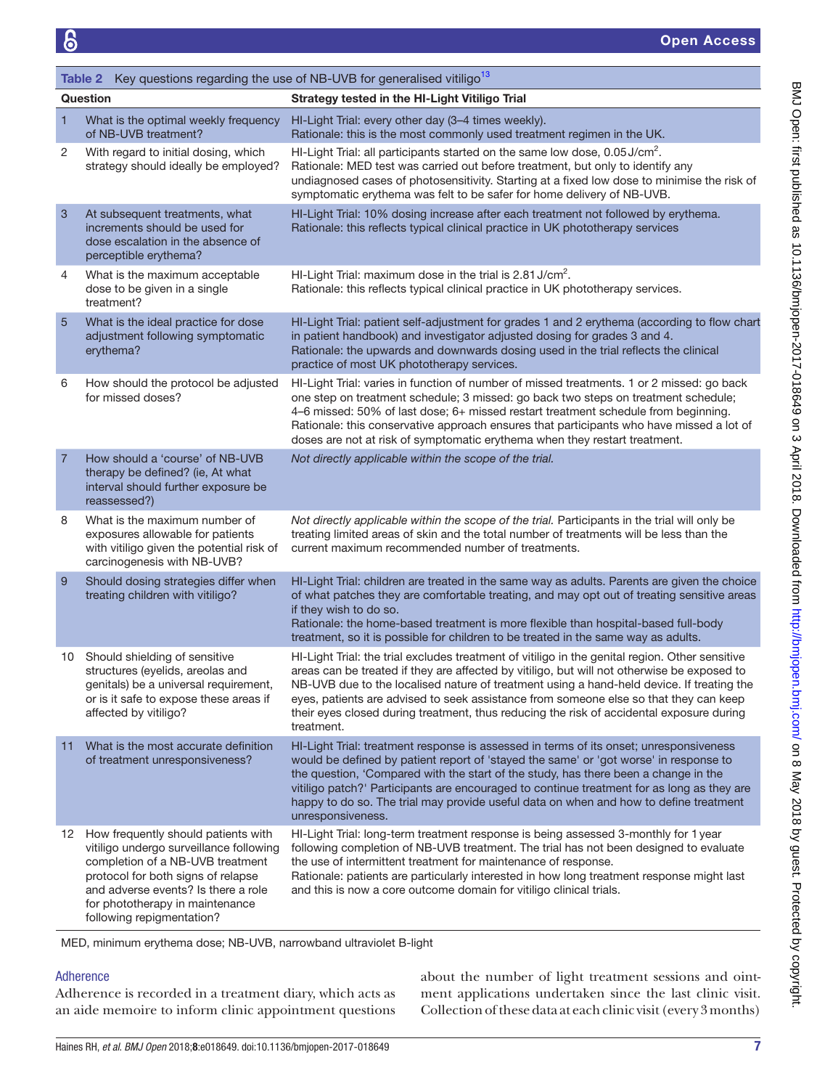<span id="page-6-0"></span>

|                | Table 2 Key questions regarding the use of NB-UVB for generalised vitiligo <sup>13</sup>                                                                                                                                                                           |                                                                                                                                                                                                                                                                                                                                                                                                                                                                                                |  |  |  |
|----------------|--------------------------------------------------------------------------------------------------------------------------------------------------------------------------------------------------------------------------------------------------------------------|------------------------------------------------------------------------------------------------------------------------------------------------------------------------------------------------------------------------------------------------------------------------------------------------------------------------------------------------------------------------------------------------------------------------------------------------------------------------------------------------|--|--|--|
|                | Question                                                                                                                                                                                                                                                           | Strategy tested in the HI-Light Vitiligo Trial                                                                                                                                                                                                                                                                                                                                                                                                                                                 |  |  |  |
| $\mathbf{1}$   | What is the optimal weekly frequency<br>of NB-UVB treatment?                                                                                                                                                                                                       | HI-Light Trial: every other day (3-4 times weekly).<br>Rationale: this is the most commonly used treatment regimen in the UK.                                                                                                                                                                                                                                                                                                                                                                  |  |  |  |
| 2              | With regard to initial dosing, which<br>strategy should ideally be employed?                                                                                                                                                                                       | HI-Light Trial: all participants started on the same low dose, 0.05 J/cm <sup>2</sup> .<br>Rationale: MED test was carried out before treatment, but only to identify any<br>undiagnosed cases of photosensitivity. Starting at a fixed low dose to minimise the risk of<br>symptomatic erythema was felt to be safer for home delivery of NB-UVB.                                                                                                                                             |  |  |  |
| 3              | At subsequent treatments, what<br>increments should be used for<br>dose escalation in the absence of<br>perceptible erythema?                                                                                                                                      | HI-Light Trial: 10% dosing increase after each treatment not followed by erythema.<br>Rationale: this reflects typical clinical practice in UK phototherapy services                                                                                                                                                                                                                                                                                                                           |  |  |  |
| 4              | What is the maximum acceptable<br>dose to be given in a single<br>treatment?                                                                                                                                                                                       | HI-Light Trial: maximum dose in the trial is 2.81 J/cm <sup>2</sup> .<br>Rationale: this reflects typical clinical practice in UK phototherapy services.                                                                                                                                                                                                                                                                                                                                       |  |  |  |
| 5              | What is the ideal practice for dose<br>adjustment following symptomatic<br>erythema?                                                                                                                                                                               | HI-Light Trial: patient self-adjustment for grades 1 and 2 erythema (according to flow chart<br>in patient handbook) and investigator adjusted dosing for grades 3 and 4.<br>Rationale: the upwards and downwards dosing used in the trial reflects the clinical<br>practice of most UK phototherapy services.                                                                                                                                                                                 |  |  |  |
| 6              | How should the protocol be adjusted<br>for missed doses?                                                                                                                                                                                                           | HI-Light Trial: varies in function of number of missed treatments. 1 or 2 missed: go back<br>one step on treatment schedule; 3 missed: go back two steps on treatment schedule;<br>4-6 missed: 50% of last dose; 6+ missed restart treatment schedule from beginning.<br>Rationale: this conservative approach ensures that participants who have missed a lot of<br>doses are not at risk of symptomatic erythema when they restart treatment.                                                |  |  |  |
| $\overline{7}$ | How should a 'course' of NB-UVB<br>therapy be defined? (ie, At what<br>interval should further exposure be<br>reassessed?)                                                                                                                                         | Not directly applicable within the scope of the trial.                                                                                                                                                                                                                                                                                                                                                                                                                                         |  |  |  |
| 8              | What is the maximum number of<br>exposures allowable for patients<br>with vitiligo given the potential risk of<br>carcinogenesis with NB-UVB?                                                                                                                      | Not directly applicable within the scope of the trial. Participants in the trial will only be<br>treating limited areas of skin and the total number of treatments will be less than the<br>current maximum recommended number of treatments.                                                                                                                                                                                                                                                  |  |  |  |
| 9              | Should dosing strategies differ when<br>treating children with vitiligo?                                                                                                                                                                                           | HI-Light Trial: children are treated in the same way as adults. Parents are given the choice<br>of what patches they are comfortable treating, and may opt out of treating sensitive areas<br>if they wish to do so.<br>Rationale: the home-based treatment is more flexible than hospital-based full-body<br>treatment, so it is possible for children to be treated in the same way as adults.                                                                                               |  |  |  |
| 10             | Should shielding of sensitive<br>structures (eyelids, areolas and<br>genitals) be a universal requirement,<br>or is it safe to expose these areas if<br>affected by vitiligo?                                                                                      | HI-Light Trial: the trial excludes treatment of vitiligo in the genital region. Other sensitive<br>areas can be treated if they are affected by vitiligo, but will not otherwise be exposed to<br>NB-UVB due to the localised nature of treatment using a hand-held device. If treating the<br>eyes, patients are advised to seek assistance from someone else so that they can keep<br>their eyes closed during treatment, thus reducing the risk of accidental exposure during<br>treatment. |  |  |  |
| 11             | What is the most accurate definition<br>of treatment unresponsiveness?                                                                                                                                                                                             | HI-Light Trial: treatment response is assessed in terms of its onset; unresponsiveness<br>would be defined by patient report of 'stayed the same' or 'got worse' in response to<br>the question, 'Compared with the start of the study, has there been a change in the<br>vitiligo patch?' Participants are encouraged to continue treatment for as long as they are<br>happy to do so. The trial may provide useful data on when and how to define treatment<br>unresponsiveness.             |  |  |  |
|                | 12 How frequently should patients with<br>vitiligo undergo surveillance following<br>completion of a NB-UVB treatment<br>protocol for both signs of relapse<br>and adverse events? Is there a role<br>for phototherapy in maintenance<br>following repigmentation? | HI-Light Trial: long-term treatment response is being assessed 3-monthly for 1 year<br>following completion of NB-UVB treatment. The trial has not been designed to evaluate<br>the use of intermittent treatment for maintenance of response.<br>Rationale: patients are particularly interested in how long treatment response might last<br>and this is now a core outcome domain for vitiligo clinical trials.                                                                             |  |  |  |

MED, minimum erythema dose; NB-UVB, narrowband ultraviolet B-light

# Adherence

Adherence is recorded in a treatment diary, which acts as an aide memoire to inform clinic appointment questions

about the number of light treatment sessions and ointment applications undertaken since the last clinic visit. Collection of these data at each clinic visit (every 3 months)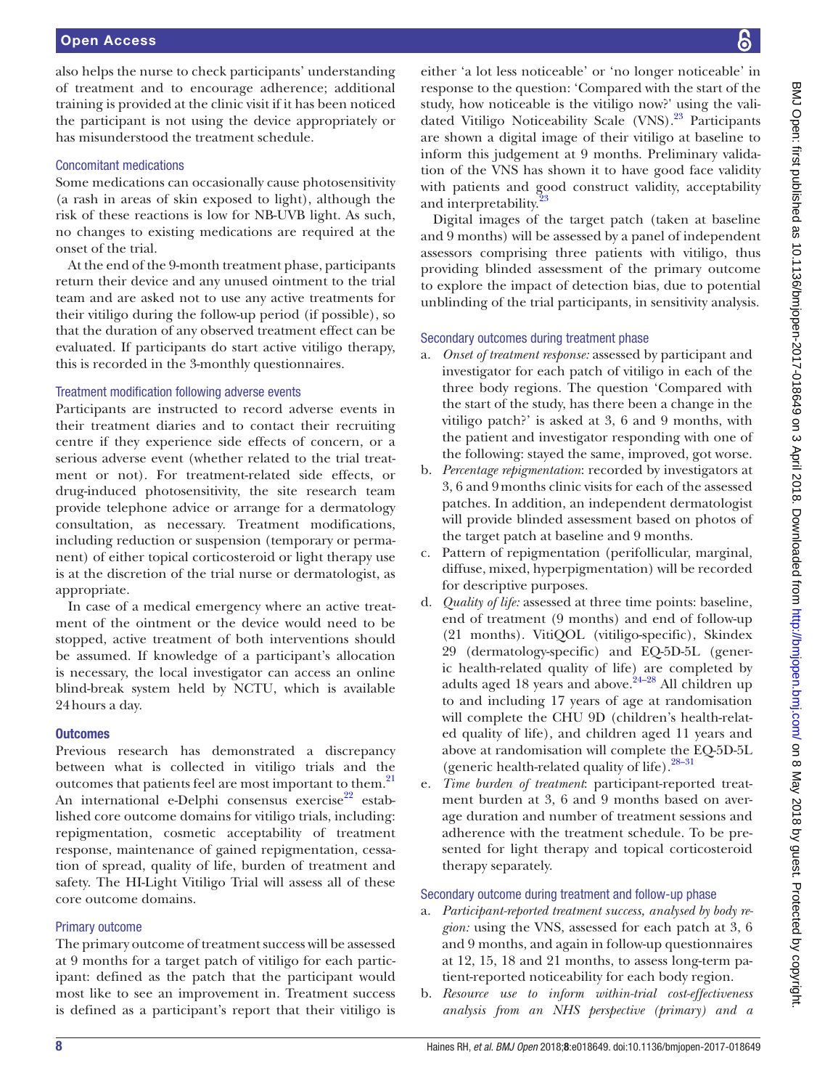also helps the nurse to check participants' understanding of treatment and to encourage adherence; additional training is provided at the clinic visit if it has been noticed the participant is not using the device appropriately or has misunderstood the treatment schedule.

#### Concomitant medications

Some medications can occasionally cause photosensitivity (a rash in areas of skin exposed to light), although the risk of these reactions is low for NB-UVB light. As such, no changes to existing medications are required at the onset of the trial.

At the end of the 9-month treatment phase, participants return their device and any unused ointment to the trial team and are asked not to use any active treatments for their vitiligo during the follow-up period (if possible), so that the duration of any observed treatment effect can be evaluated. If participants do start active vitiligo therapy, this is recorded in the 3-monthly questionnaires.

#### Treatment modification following adverse events

Participants are instructed to record adverse events in their treatment diaries and to contact their recruiting centre if they experience side effects of concern, or a serious adverse event (whether related to the trial treatment or not). For treatment-related side effects, or drug-induced photosensitivity, the site research team provide telephone advice or arrange for a dermatology consultation, as necessary. Treatment modifications, including reduction or suspension (temporary or permanent) of either topical corticosteroid or light therapy use is at the discretion of the trial nurse or dermatologist, as appropriate.

In case of a medical emergency where an active treatment of the ointment or the device would need to be stopped, active treatment of both interventions should be assumed. If knowledge of a participant's allocation is necessary, the local investigator can access an online blind-break system held by NCTU, which is available 24hours a day.

# **Outcomes**

Previous research has demonstrated a discrepancy between what is collected in vitiligo trials and the outcomes that patients feel are most important to them.<sup>21</sup> An international e-Delphi consensus exercise<sup>22</sup> established core outcome domains for vitiligo trials, including: repigmentation, cosmetic acceptability of treatment response, maintenance of gained repigmentation, cessation of spread, quality of life, burden of treatment and safety. The HI-Light Vitiligo Trial will assess all of these core outcome domains.

# Primary outcome

The primary outcome of treatment success will be assessed at 9 months for a target patch of vitiligo for each participant: defined as the patch that the participant would most like to see an improvement in. Treatment success is defined as a participant's report that their vitiligo is

either 'a lot less noticeable' or 'no longer noticeable' in response to the question: 'Compared with the start of the study, how noticeable is the vitiligo now?' using the validated Vitiligo Noticeability Scale (VNS).<sup>23</sup> Participants are shown a digital image of their vitiligo at baseline to inform this judgement at 9 months. Preliminary validation of the VNS has shown it to have good face validity with patients and good construct validity, acceptability and interpretability.<sup>[23](#page-12-11)</sup>

Digital images of the target patch (taken at baseline and 9 months) will be assessed by a panel of independent assessors comprising three patients with vitiligo, thus providing blinded assessment of the primary outcome to explore the impact of detection bias, due to potential unblinding of the trial participants, in sensitivity analysis.

# Secondary outcomes during treatment phase

- a. *Onset of treatment response:* assessed by participant and investigator for each patch of vitiligo in each of the three body regions. The question 'Compared with the start of the study, has there been a change in the vitiligo patch?' is asked at 3, 6 and 9 months, with the patient and investigator responding with one of the following: stayed the same, improved, got worse.
- b. *Percentage repigmentation*: recorded by investigators at 3, 6 and 9months clinic visits for each of the assessed patches. In addition, an independent dermatologist will provide blinded assessment based on photos of the target patch at baseline and 9 months.
- c. Pattern of repigmentation (perifollicular, marginal, diffuse, mixed, hyperpigmentation) will be recorded for descriptive purposes.
- d. *Quality of life:* assessed at three time points: baseline, end of treatment (9 months) and end of follow-up (21 months). VitiQOL (vitiligo-specific), Skindex 29 (dermatology-specific) and EQ-5D-5L (generic health-related quality of life) are completed by adults aged 18 years and above. $24-28$  All children up to and including 17 years of age at randomisation will complete the CHU 9D (children's health-related quality of life), and children aged 11 years and above at randomisation will complete the EQ-5D-5L (generic health-related quality of life). $28-31$
- e. *Time burden of treatment*: participant-reported treatment burden at 3, 6 and 9 months based on average duration and number of treatment sessions and adherence with the treatment schedule. To be presented for light therapy and topical corticosteroid therapy separately.

# Secondary outcome during treatment and follow-up phase

- a. *Participant-reported treatment success, analysed by body region:* using the VNS, assessed for each patch at 3, 6 and 9 months, and again in follow-up questionnaires at 12, 15, 18 and 21 months, to assess long-term patient-reported noticeability for each body region.
- b. *Resource use to inform within-trial cost-effectiveness analysis from an NHS perspective (primary) and a*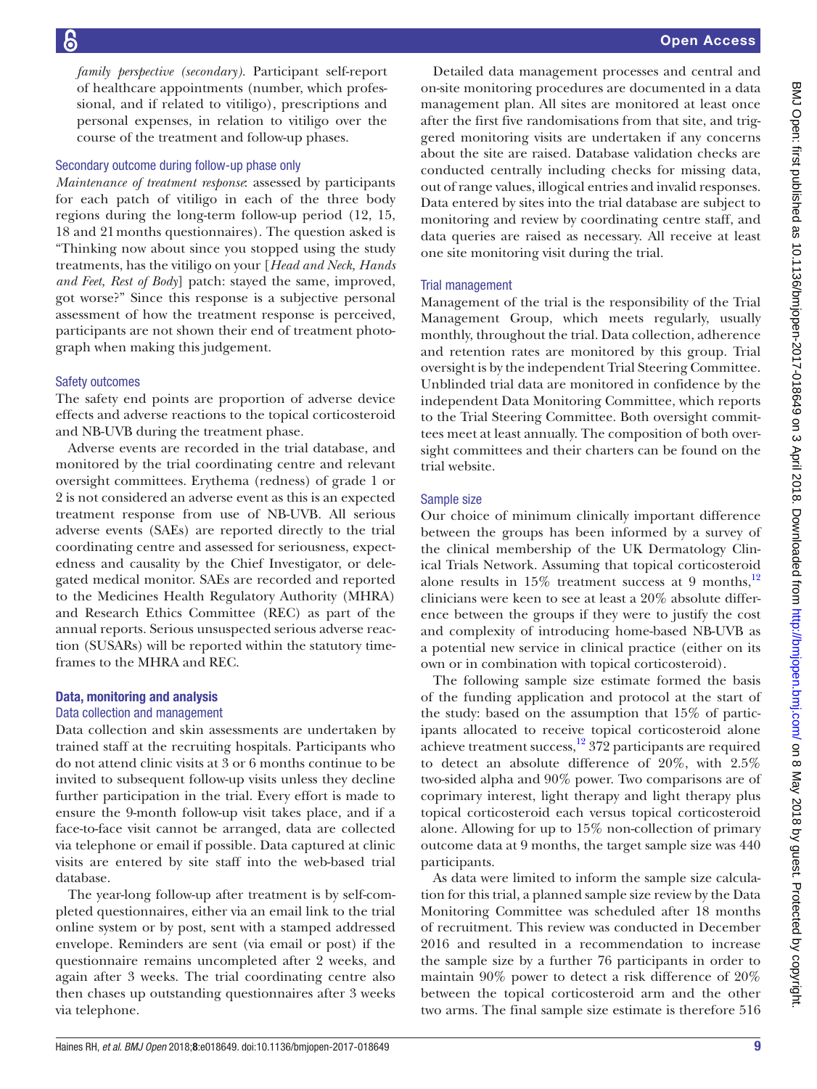*family perspective (secondary).* Participant self-report of healthcare appointments (number, which professional, and if related to vitiligo), prescriptions and personal expenses, in relation to vitiligo over the course of the treatment and follow-up phases.

#### Secondary outcome during follow-up phase only

*Maintenance of treatment response*: assessed by participants for each patch of vitiligo in each of the three body regions during the long-term follow-up period (12, 15, 18 and 21months questionnaires). The question asked is "Thinking now about since you stopped using the study treatments, has the vitiligo on your [*Head and Neck, Hands and Feet, Rest of Body*] patch: stayed the same, improved, got worse?" Since this response is a subjective personal assessment of how the treatment response is perceived, participants are not shown their end of treatment photograph when making this judgement.

#### Safety outcomes

The safety end points are proportion of adverse device effects and adverse reactions to the topical corticosteroid and NB-UVB during the treatment phase.

Adverse events are recorded in the trial database, and monitored by the trial coordinating centre and relevant oversight committees. Erythema (redness) of grade 1 or 2 is not considered an adverse event as this is an expected treatment response from use of NB-UVB. All serious adverse events (SAEs) are reported directly to the trial coordinating centre and assessed for seriousness, expectedness and causality by the Chief Investigator, or delegated medical monitor. SAEs are recorded and reported to the Medicines Health Regulatory Authority (MHRA) and Research Ethics Committee (REC) as part of the annual reports. Serious unsuspected serious adverse reaction (SUSARs) will be reported within the statutory timeframes to the MHRA and REC.

#### Data, monitoring and analysis

#### Data collection and management

Data collection and skin assessments are undertaken by trained staff at the recruiting hospitals. Participants who do not attend clinic visits at 3 or 6 months continue to be invited to subsequent follow-up visits unless they decline further participation in the trial. Every effort is made to ensure the 9-month follow-up visit takes place, and if a face-to-face visit cannot be arranged, data are collected via telephone or email if possible. Data captured at clinic visits are entered by site staff into the web-based trial database.

The year-long follow-up after treatment is by self-completed questionnaires, either via an email link to the trial online system or by post, sent with a stamped addressed envelope. Reminders are sent (via email or post) if the questionnaire remains uncompleted after 2 weeks, and again after 3 weeks. The trial coordinating centre also then chases up outstanding questionnaires after 3 weeks via telephone.

Detailed data management processes and central and on-site monitoring procedures are documented in a data management plan. All sites are monitored at least once after the first five randomisations from that site, and triggered monitoring visits are undertaken if any concerns about the site are raised. Database validation checks are conducted centrally including checks for missing data, out of range values, illogical entries and invalid responses. Data entered by sites into the trial database are subject to monitoring and review by coordinating centre staff, and data queries are raised as necessary. All receive at least one site monitoring visit during the trial.

#### Trial management

Management of the trial is the responsibility of the Trial Management Group, which meets regularly, usually monthly, throughout the trial. Data collection, adherence and retention rates are monitored by this group. Trial oversight is by the independent Trial Steering Committee. Unblinded trial data are monitored in confidence by the independent Data Monitoring Committee, which reports to the Trial Steering Committee. Both oversight committees meet at least annually. The composition of both oversight committees and their charters can be found on the trial website.

#### Sample size

Our choice of minimum clinically important difference between the groups has been informed by a survey of the clinical membership of the UK Dermatology Clinical Trials Network. Assuming that topical corticosteroid alone results in  $15\%$  treatment success at 9 months,<sup>[12](#page-12-0)</sup> clinicians were keen to see at least a 20% absolute difference between the groups if they were to justify the cost and complexity of introducing home-based NB-UVB as a potential new service in clinical practice (either on its own or in combination with topical corticosteroid).

The following sample size estimate formed the basis of the funding application and protocol at the start of the study: based on the assumption that 15% of participants allocated to receive topical corticosteroid alone achieve treatment success,  $12$  372 participants are required to detect an absolute difference of 20%, with 2.5% two-sided alpha and 90% power. Two comparisons are of coprimary interest, light therapy and light therapy plus topical corticosteroid each versus topical corticosteroid alone. Allowing for up to 15% non-collection of primary outcome data at 9 months, the target sample size was 440 participants.

As data were limited to inform the sample size calculation for this trial, a planned sample size review by the Data Monitoring Committee was scheduled after 18 months of recruitment. This review was conducted in December 2016 and resulted in a recommendation to increase the sample size by a further 76 participants in order to maintain 90% power to detect a risk difference of 20% between the topical corticosteroid arm and the other two arms. The final sample size estimate is therefore 516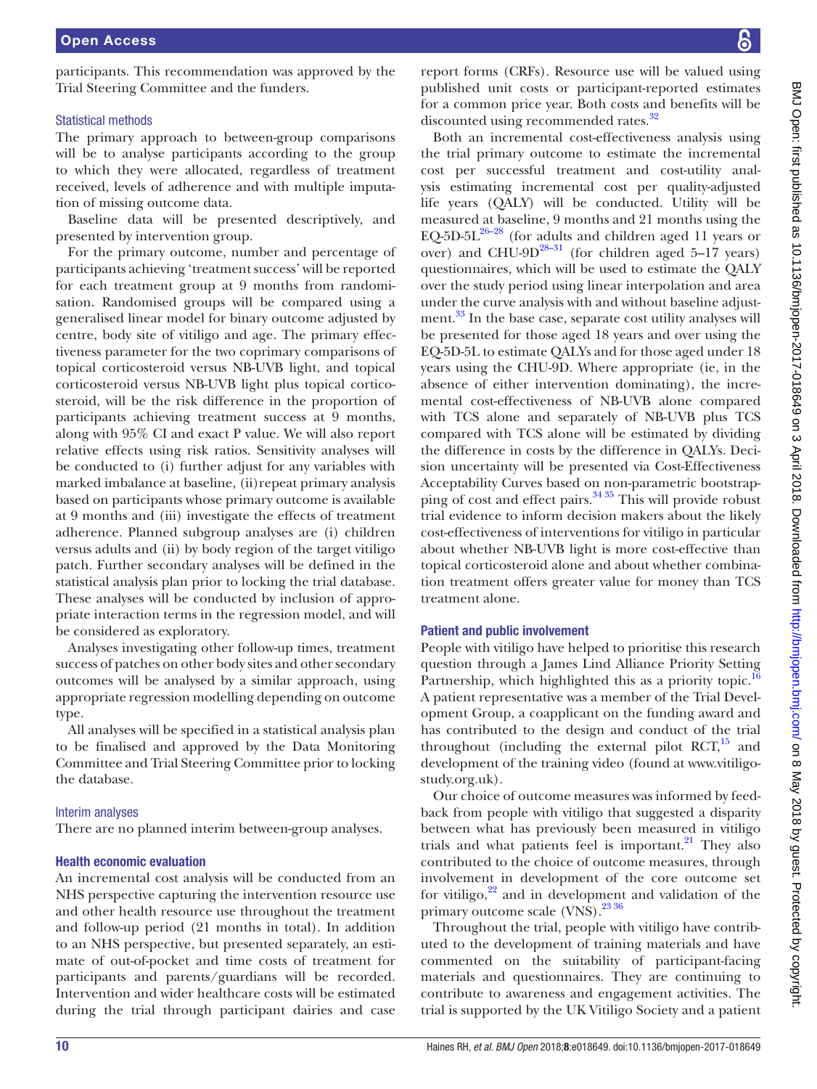participants. This recommendation was approved by the Trial Steering Committee and the funders.

#### Statistical methods

The primary approach to between-group comparisons will be to analyse participants according to the group to which they were allocated, regardless of treatment received, levels of adherence and with multiple imputation of missing outcome data.

Baseline data will be presented descriptively, and presented by intervention group.

For the primary outcome, number and percentage of participants achieving 'treatment success' will be reported for each treatment group at 9 months from randomisation. Randomised groups will be compared using a generalised linear model for binary outcome adjusted by centre, body site of vitiligo and age. The primary effectiveness parameter for the two coprimary comparisons of topical corticosteroid versus NB-UVB light, and topical corticosteroid versus NB-UVB light plus topical corticosteroid, will be the risk difference in the proportion of participants achieving treatment success at 9 months, along with 95% CI and exact P value. We will also report relative effects using risk ratios. Sensitivity analyses will be conducted to (i) further adjust for any variables with marked imbalance at baseline, (ii)repeat primary analysis based on participants whose primary outcome is available at 9 months and (iii) investigate the effects of treatment adherence. Planned subgroup analyses are (i) children versus adults and (ii) by body region of the target vitiligo patch. Further secondary analyses will be defined in the statistical analysis plan prior to locking the trial database. These analyses will be conducted by inclusion of appropriate interaction terms in the regression model, and will be considered as exploratory.

Analyses investigating other follow-up times, treatment success of patches on other body sites and other secondary outcomes will be analysed by a similar approach, using appropriate regression modelling depending on outcome type.

All analyses will be specified in a statistical analysis plan to be finalised and approved by the Data Monitoring Committee and Trial Steering Committee prior to locking the database.

#### Interim analyses

There are no planned interim between-group analyses.

#### Health economic evaluation

An incremental cost analysis will be conducted from an NHS perspective capturing the intervention resource use and other health resource use throughout the treatment and follow-up period (21 months in total). In addition to an NHS perspective, but presented separately, an estimate of out-of-pocket and time costs of treatment for participants and parents/guardians will be recorded. Intervention and wider healthcare costs will be estimated during the trial through participant dairies and case

report forms (CRFs). Resource use will be valued using published unit costs or participant-reported estimates for a common price year. Both costs and benefits will be discounted using recommended rates.<sup>32</sup>

Both an incremental cost-effectiveness analysis using the trial primary outcome to estimate the incremental cost per successful treatment and cost-utility analysis estimating incremental cost per quality-adjusted life years (QALY) will be conducted. Utility will be measured at baseline, 9 months and 21 months using the EQ-5D-5L $^{26-28}$  (for adults and children aged 11 years or over) and CHU-9D $^{28-31}$  (for children aged 5–17 years) questionnaires, which will be used to estimate the QALY over the study period using linear interpolation and area under the curve analysis with and without baseline adjust-ment.<sup>[33](#page-12-16)</sup> In the base case, separate cost utility analyses will be presented for those aged 18 years and over using the EQ-5D-5L to estimate QALYs and for those aged under 18 years using the CHU-9D. Where appropriate (ie, in the absence of either intervention dominating), the incremental cost-effectiveness of NB-UVB alone compared with TCS alone and separately of NB-UVB plus TCS compared with TCS alone will be estimated by dividing the difference in costs by the difference in QALYs. Decision uncertainty will be presented via Cost-Effectiveness Acceptability Curves based on non-parametric bootstrapping of cost and effect pairs. $3435$  This will provide robust trial evidence to inform decision makers about the likely cost-effectiveness of interventions for vitiligo in particular about whether NB-UVB light is more cost-effective than topical corticosteroid alone and about whether combination treatment offers greater value for money than TCS treatment alone.

#### Patient and public involvement

People with vitiligo have helped to prioritise this research question through a James Lind Alliance Priority Setting Partnership, which highlighted this as a priority topic.<sup>[16](#page-12-4)</sup> A patient representative was a member of the Trial Development Group, a coapplicant on the funding award and has contributed to the design and conduct of the trial throughout (including the external pilot  $RCT$ ,<sup>[15](#page-12-3)</sup> and development of the training video (found at [www.vitiligo](www.vitiligostudy.org.uk)[study.org.uk\)](www.vitiligostudy.org.uk).

Our choice of outcome measures was informed by feedback from people with vitiligo that suggested a disparity between what has previously been measured in vitiligo trials and what patients feel is important. $^{21}$  They also contributed to the choice of outcome measures, through involvement in development of the core outcome set for vitiligo, $2^2$  and in development and validation of the primary outcome scale (VNS).<sup>[23 36](#page-12-11)</sup>

Throughout the trial, people with vitiligo have contributed to the development of training materials and have commented on the suitability of participant-facing materials and questionnaires. They are continuing to contribute to awareness and engagement activities. The trial is supported by the UK Vitiligo Society and a patient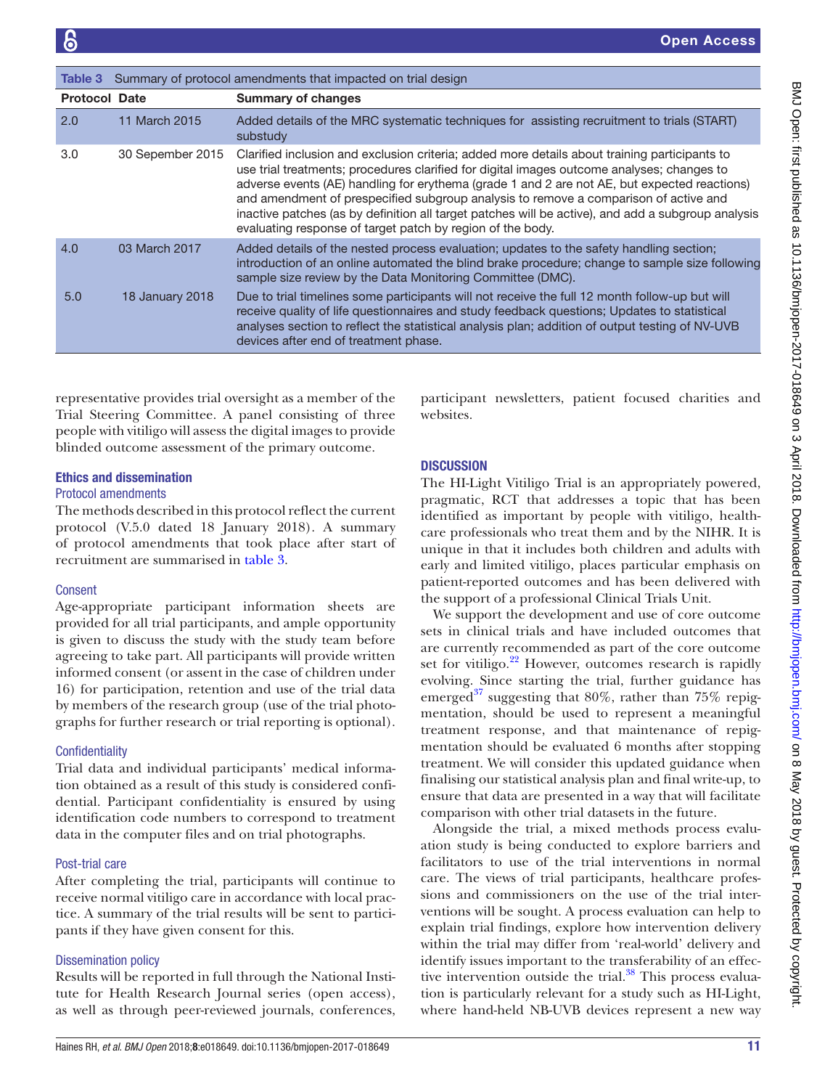<span id="page-10-0"></span>

| Table 3              |                  | Summary of protocol amendments that impacted on trial design                                                                                                                                                                                                                                                                                                                                                                                                                                                                                            |
|----------------------|------------------|---------------------------------------------------------------------------------------------------------------------------------------------------------------------------------------------------------------------------------------------------------------------------------------------------------------------------------------------------------------------------------------------------------------------------------------------------------------------------------------------------------------------------------------------------------|
| <b>Protocol Date</b> |                  | <b>Summary of changes</b>                                                                                                                                                                                                                                                                                                                                                                                                                                                                                                                               |
| 2.0                  | 11 March 2015    | Added details of the MRC systematic techniques for assisting recruitment to trials (START)<br>substudy                                                                                                                                                                                                                                                                                                                                                                                                                                                  |
| 3.0                  | 30 Sepember 2015 | Clarified inclusion and exclusion criteria; added more details about training participants to<br>use trial treatments; procedures clarified for digital images outcome analyses; changes to<br>adverse events (AE) handling for erythema (grade 1 and 2 are not AE, but expected reactions)<br>and amendment of prespecified subgroup analysis to remove a comparison of active and<br>inactive patches (as by definition all target patches will be active), and add a subgroup analysis<br>evaluating response of target patch by region of the body. |
| 4.0                  | 03 March 2017    | Added details of the nested process evaluation; updates to the safety handling section;<br>introduction of an online automated the blind brake procedure; change to sample size following<br>sample size review by the Data Monitoring Committee (DMC).                                                                                                                                                                                                                                                                                                 |
| 5.0                  | 18 January 2018  | Due to trial timelines some participants will not receive the full 12 month follow-up but will<br>receive quality of life questionnaires and study feedback questions; Updates to statistical<br>analyses section to reflect the statistical analysis plan; addition of output testing of NV-UVB<br>devices after end of treatment phase.                                                                                                                                                                                                               |

representative provides trial oversight as a member of the Trial Steering Committee. A panel consisting of three people with vitiligo will assess the digital images to provide blinded outcome assessment of the primary outcome.

#### Ethics and dissemination

#### Protocol amendments

The methods described in this protocol reflect the current protocol (V.5.0 dated 18 January 2018). A summary of protocol amendments that took place after start of recruitment are summarised in [table](#page-10-0) 3.

#### Consent

Age-appropriate participant information sheets are provided for all trial participants, and ample opportunity is given to discuss the study with the study team before agreeing to take part. All participants will provide written informed consent (or assent in the case of children under 16) for participation, retention and use of the trial data by members of the research group (use of the trial photographs for further research or trial reporting is optional).

#### **Confidentiality**

Trial data and individual participants' medical information obtained as a result of this study is considered confidential. Participant confidentiality is ensured by using identification code numbers to correspond to treatment data in the computer files and on trial photographs.

#### Post-trial care

After completing the trial, participants will continue to receive normal vitiligo care in accordance with local practice. A summary of the trial results will be sent to participants if they have given consent for this.

#### Dissemination policy

Results will be reported in full through the National Institute for Health Research Journal series (open access), as well as through peer-reviewed journals, conferences,

participant newsletters, patient focused charities and websites.

# **DISCUSSION**

The HI-Light Vitiligo Trial is an appropriately powered, pragmatic, RCT that addresses a topic that has been identified as important by people with vitiligo, healthcare professionals who treat them and by the NIHR. It is unique in that it includes both children and adults with early and limited vitiligo, places particular emphasis on patient-reported outcomes and has been delivered with the support of a professional Clinical Trials Unit.

We support the development and use of core outcome sets in clinical trials and have included outcomes that are currently recommended as part of the core outcome set for vitiligo. $22$  However, outcomes research is rapidly evolving. Since starting the trial, further guidance has emerged $37$  suggesting that 80%, rather than 75% repigmentation, should be used to represent a meaningful treatment response, and that maintenance of repigmentation should be evaluated 6 months after stopping treatment. We will consider this updated guidance when finalising our statistical analysis plan and final write-up, to ensure that data are presented in a way that will facilitate comparison with other trial datasets in the future.

Alongside the trial, a mixed methods process evaluation study is being conducted to explore barriers and facilitators to use of the trial interventions in normal care. The views of trial participants, healthcare professions and commissioners on the use of the trial interventions will be sought. A process evaluation can help to explain trial findings, explore how intervention delivery within the trial may differ from 'real-world' delivery and identify issues important to the transferability of an effective intervention outside the trial. $38$  This process evaluation is particularly relevant for a study such as HI-Light, where hand-held NB-UVB devices represent a new way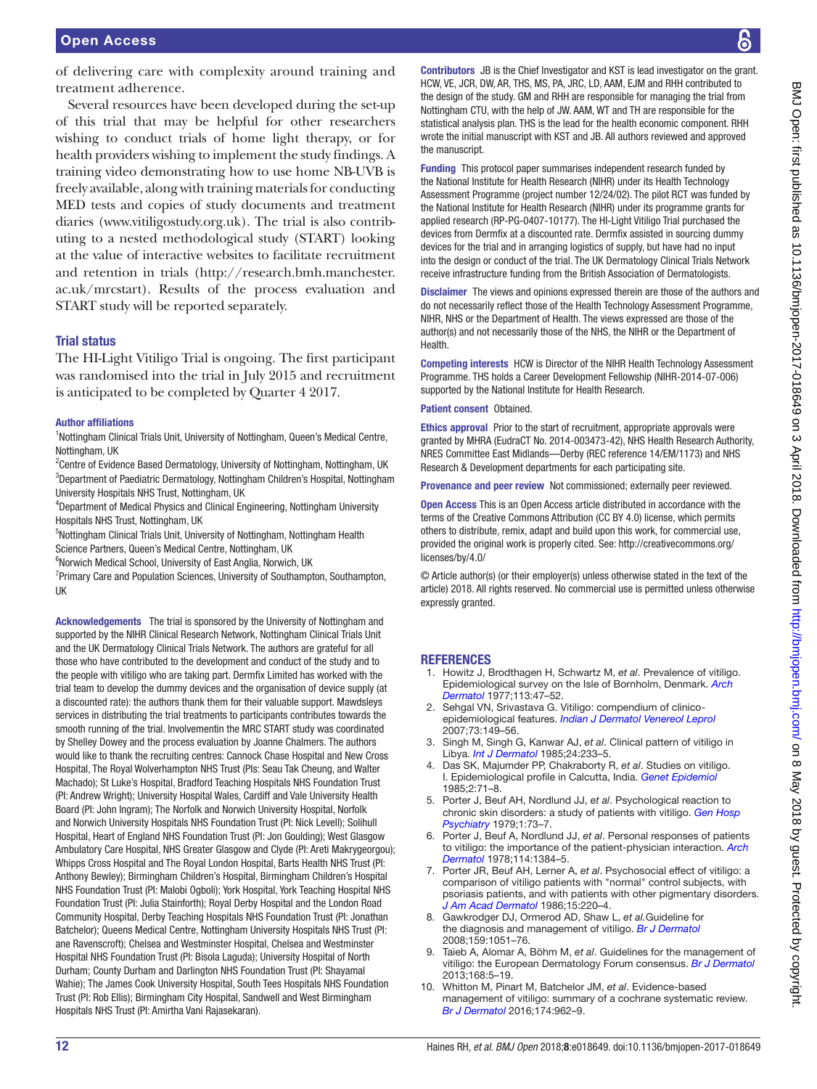of delivering care with complexity around training and treatment adherence.

Several resources have been developed during the set-up of this trial that may be helpful for other researchers wishing to conduct trials of home light therapy, or for health providers wishing to implement the study findings. A training video demonstrating how to use home NB-UVB is freely available, along with training materials for conducting MED tests and copies of study documents and treatment diaries ([www.vitiligostudy.org.uk\)](www.vitiligostudy.org.uk). The trial is also contributing to a nested methodological study (START) looking at the value of interactive websites to facilitate recruitment and retention in trials ([http://research.bmh.manchester.](http://research.bmh.manchester.ac.uk/mrcstart) [ac.uk/mrcstart](http://research.bmh.manchester.ac.uk/mrcstart)). Results of the process evaluation and START study will be reported separately.

#### Trial status

The HI-Light Vitiligo Trial is ongoing. The first participant was randomised into the trial in July 2015 and recruitment is anticipated to be completed by Quarter 4 2017.

#### Author affiliations

<sup>1</sup>Nottingham Clinical Trials Unit, University of Nottingham, Queen's Medical Centre, Nottingham, UK

<sup>2</sup> Centre of Evidence Based Dermatology, University of Nottingham, Nottingham, UK <sup>3</sup>Department of Paediatric Dermatology, Nottingham Children's Hospital, Nottingham University Hospitals NHS Trust, Nottingham, UK

<sup>4</sup>Department of Medical Physics and Clinical Engineering, Nottingham University Hospitals NHS Trust, Nottingham, UK

<sup>5</sup>Nottingham Clinical Trials Unit, University of Nottingham, Nottingham Health Science Partners, Queen's Medical Centre, Nottingham, UK

<sup>6</sup>Norwich Medical School, University of East Anglia, Norwich, UK

<sup>7</sup> Primary Care and Population Sciences, University of Southampton, Southampton, UK

Acknowledgements The trial is sponsored by the University of Nottingham and supported by the NIHR Clinical Research Network, Nottingham Clinical Trials Unit and the UK Dermatology Clinical Trials Network. The authors are grateful for all those who have contributed to the development and conduct of the study and to the people with vitiligo who are taking part. Dermfix Limited has worked with the trial team to develop the dummy devices and the organisation of device supply (at a discounted rate): the authors thank them for their valuable support. Mawdsleys services in distributing the trial treatments to participants contributes towards the smooth running of the trial. Involvementin the MRC START study was coordinated by Shelley Dowey and the process evaluation by Joanne Chalmers. The authors would like to thank the recruiting centres: Cannock Chase Hospital and New Cross Hospital, The Royal Wolverhampton NHS Trust (PIs: Seau Tak Cheung, and Walter Machado); St Luke's Hospital, Bradford Teaching Hospitals NHS Foundation Trust (PI: Andrew Wright); University Hospital Wales, Cardiff and Vale University Health Board (PI: John Ingram); The Norfolk and Norwich University Hospital, Norfolk and Norwich University Hospitals NHS Foundation Trust (PI: Nick Levell); Solihull Hospital, Heart of England NHS Foundation Trust (PI: Jon Goulding); West Glasgow Ambulatory Care Hospital, NHS Greater Glasgow and Clyde (PI: Areti Makrygeorgou); Whipps Cross Hospital and The Royal London Hospital, Barts Health NHS Trust (PI: Anthony Bewley); Birmingham Children's Hospital, Birmingham Children's Hospital NHS Foundation Trust (PI: Malobi Ogboli); York Hospital, York Teaching Hospital NHS Foundation Trust (PI: Julia Stainforth); Royal Derby Hospital and the London Road Community Hospital, Derby Teaching Hospitals NHS Foundation Trust (PI: Jonathan Batchelor); Queens Medical Centre, Nottingham University Hospitals NHS Trust (PI: ane Ravenscroft); Chelsea and Westminster Hospital, Chelsea and Westminster Hospital NHS Foundation Trust (PI: Bisola Laguda); University Hospital of North Durham; County Durham and Darlington NHS Foundation Trust (PI: Shayamal Wahie); The James Cook University Hospital, South Tees Hospitals NHS Foundation Trust (PI: Rob Ellis); Birmingham City Hospital, Sandwell and West Birmingham Hospitals NHS Trust (PI: Amirtha Vani Rajasekaran).

Contributors JB is the Chief Investigator and KST is lead investigator on the grant. HCW, VE, JCR, DW, AR, THS, MS, PA, JRC, LD, AAM, EJM and RHH contributed to the design of the study. GM and RHH are responsible for managing the trial from Nottingham CTU, with the help of JW. AAM, WT and TH are responsible for the statistical analysis plan. THS is the lead for the health economic component. RHH wrote the initial manuscript with KST and JB. All authors reviewed and approved the manuscript.

Funding This protocol paper summarises independent research funded by the National Institute for Health Research (NIHR) under its Health Technology Assessment Programme (project number 12/24/02). The pilot RCT was funded by the National Institute for Health Research (NIHR) under its programme grants for applied research (RP-PG-0407-10177). The HI-Light Vitiligo Trial purchased the devices from Dermfix at a discounted rate. Dermfix assisted in sourcing dummy devices for the trial and in arranging logistics of supply, but have had no input into the design or conduct of the trial. The UK Dermatology Clinical Trials Network receive infrastructure funding from the British Association of Dermatologists.

Disclaimer The views and opinions expressed therein are those of the authors and do not necessarily reflect those of the Health Technology Assessment Programme, NIHR, NHS or the Department of Health. The views expressed are those of the author(s) and not necessarily those of the NHS, the NIHR or the Department of Health.

Competing interests HCW is Director of the NIHR Health Technology Assessment Programme. THS holds a Career Development Fellowship (NIHR-2014-07-006) supported by the National Institute for Health Research.

#### Patient consent Obtained.

Ethics approval Prior to the start of recruitment, appropriate approvals were granted by MHRA (EudraCT No. 2014-003473-42), NHS Health Research Authority, NRES Committee East Midlands—Derby (REC reference 14/EM/1173) and NHS Research & Development departments for each participating site.

Provenance and peer review Not commissioned; externally peer reviewed.

Open Access This is an Open Access article distributed in accordance with the terms of the Creative Commons Attribution (CC BY 4.0) license, which permits others to distribute, remix, adapt and build upon this work, for commercial use, provided the original work is properly cited. See: [http://creativecommons.org/](http://creativecommons.org/licenses/by/4.0/) [licenses/by/4.0/](http://creativecommons.org/licenses/by/4.0/)

© Article author(s) (or their employer(s) unless otherwise stated in the text of the article) 2018. All rights reserved. No commercial use is permitted unless otherwise expressly granted.

#### **REFERENCES**

- <span id="page-11-0"></span>1. Howitz J, Brodthagen H, Schwartz M, *et al*. Prevalence of vitiligo. Epidemiological survey on the Isle of Bornholm, Denmark. *[Arch](http://www.ncbi.nlm.nih.gov/pubmed/831622)  [Dermatol](http://www.ncbi.nlm.nih.gov/pubmed/831622)* 1977;113:47–52.
- Sehgal VN, Srivastava G. Vitiligo: compendium of clinicoepidemiological features. *[Indian J Dermatol Venereol Leprol](http://dx.doi.org/10.4103/0378-6323.32708)* 2007;73:149–56.
- 3. Singh M, Singh G, Kanwar AJ, *et al*. Clinical pattern of vitiligo in Libya. *[Int J Dermatol](http://dx.doi.org/10.1111/j.1365-4362.1985.tb05445.x)* 1985;24:233–5.
- 4. Das SK, Majumder PP, Chakraborty R, *et al*. Studies on vitiligo. I. Epidemiological profile in Calcutta, India. *[Genet Epidemiol](http://dx.doi.org/10.1002/gepi.1370020107)* 1985;2:71–8.
- <span id="page-11-1"></span>5. Porter J, Beuf AH, Nordlund JJ, *et al*. Psychological reaction to chronic skin disorders: a study of patients with vitiligo. *[Gen Hosp](http://www.ncbi.nlm.nih.gov/pubmed/499777)  [Psychiatry](http://www.ncbi.nlm.nih.gov/pubmed/499777)* 1979;1:73–7.
- <span id="page-11-2"></span>6. Porter J, Beuf A, Nordlund JJ, *et al*. Personal responses of patients to vitiligo: the importance of the patient-physician interaction. *[Arch](http://www.ncbi.nlm.nih.gov/pubmed/686757)  [Dermatol](http://www.ncbi.nlm.nih.gov/pubmed/686757)* 1978;114:1384–5.
- 7. Porter JR, Beuf AH, Lerner A, *et al*. Psychosocial effect of vitiligo: a comparison of vitiligo patients with "normal" control subjects, with psoriasis patients, and with patients with other pigmentary disorders. *[J Am Acad Dermatol](http://dx.doi.org/10.1016/S0190-9622(86)70160-6)* 1986;15:220–4.
- <span id="page-11-3"></span>8. Gawkrodger DJ, Ormerod AD, Shaw L, *et al.*Guideline for the diagnosis and management of vitiligo. *[Br J Dermatol](http://dx.doi.org/10.1111/j.1365-2133.2008.08881.x)* 2008;159:1051–76.
- <span id="page-11-5"></span>9. Taieb A, Alomar A, Böhm M, *et al*. Guidelines for the management of vitiligo: the European Dermatology Forum consensus. *[Br J Dermatol](http://dx.doi.org/10.1111/j.1365-2133.2012.11197.x)* 2013;168:5–19.
- <span id="page-11-4"></span>10. Whitton M, Pinart M, Batchelor JM, *et al*. Evidence-based management of vitiligo: summary of a cochrane systematic review. *[Br J Dermatol](http://dx.doi.org/10.1111/bjd.14356)* 2016;174:962–9.